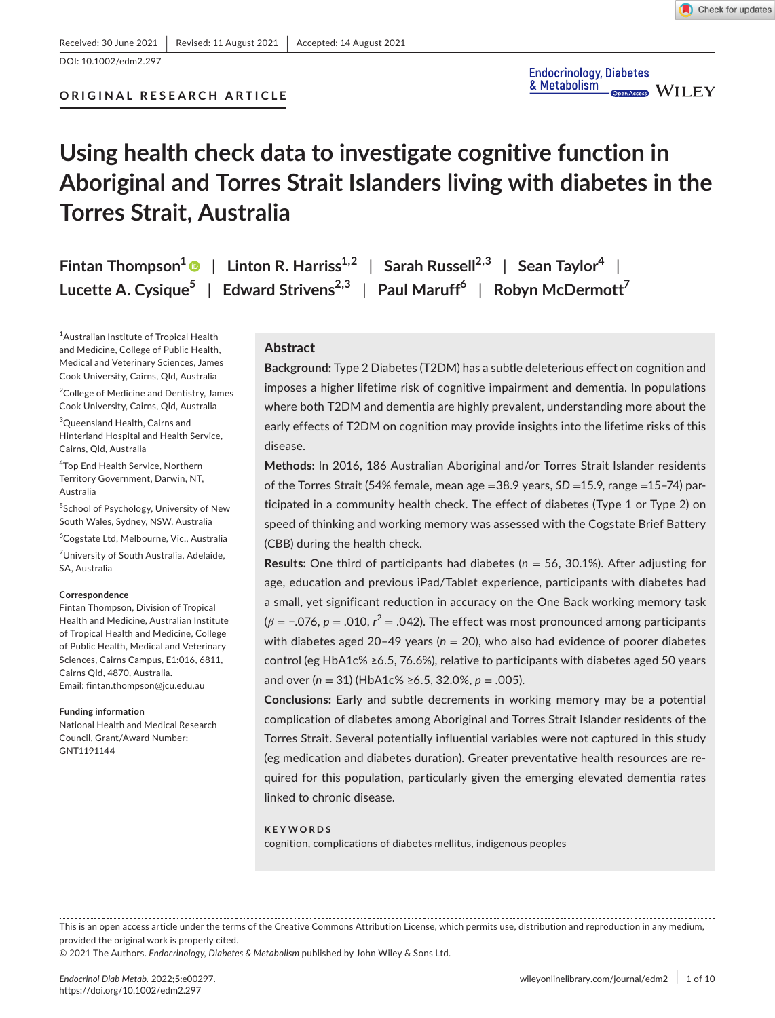# **Using health check data to investigate cognitive function in Aboriginal and Torres Strait Islanders living with diabetes in the Torres Strait, Australia**

**Fintan Thompson<sup>[1](https://orcid.org/0000-0002-0798-2671)</sup> | Linton R. Harriss<sup>1,2</sup> | Sarah Russell<sup>2,3</sup> | Sean Taylor<sup>4</sup> | Lucette A. Cysique5** | **Edward Strivens2,3** | **Paul Maruff6** | **Robyn McDermott7**

1 Australian Institute of Tropical Health and Medicine, College of Public Health, Medical and Veterinary Sciences, James Cook University, Cairns, Qld, Australia

<sup>2</sup>College of Medicine and Dentistry, James Cook University, Cairns, Qld, Australia

3 Queensland Health, Cairns and Hinterland Hospital and Health Service, Cairns, Qld, Australia

4 Top End Health Service, Northern Territory Government, Darwin, NT, Australia

5 School of Psychology, University of New South Wales, Sydney, NSW, Australia

6 Cogstate Ltd, Melbourne, Vic., Australia

<sup>7</sup>University of South Australia, Adelaide, SA, Australia

#### **Correspondence**

Fintan Thompson, Division of Tropical Health and Medicine, Australian Institute of Tropical Health and Medicine, College of Public Health, Medical and Veterinary Sciences, Cairns Campus, E1:016, 6811, Cairns Qld, 4870, Australia. Email: [fintan.thompson@jcu.edu.au](mailto:fintan.thompson@jcu.edu.au)

#### **Funding information**

National Health and Medical Research Council, Grant/Award Number: GNT1191144

# **Abstract**

**Background:** Type 2 Diabetes (T2DM) has a subtle deleterious effect on cognition and imposes a higher lifetime risk of cognitive impairment and dementia. In populations where both T2DM and dementia are highly prevalent, understanding more about the early effects of T2DM on cognition may provide insights into the lifetime risks of this disease.

**Methods:** In 2016, 186 Australian Aboriginal and/or Torres Strait Islander residents of the Torres Strait (54% female, mean age =38.9 years, *SD* =15.9, range =15–74) participated in a community health check. The effect of diabetes (Type 1 or Type 2) on speed of thinking and working memory was assessed with the Cogstate Brief Battery (CBB) during the health check.

**Results:** One third of participants had diabetes (*n* = 56, 30.1%). After adjusting for age, education and previous iPad/Tablet experience, participants with diabetes had a small, yet significant reduction in accuracy on the One Back working memory task (*β* = −.076, *p* = .010, *r* <sup>2</sup> = .042). The effect was most pronounced among participants with diabetes aged 20-49 years ( $n = 20$ ), who also had evidence of poorer diabetes control (eg HbA1c% ≥6.5, 76.6%), relative to participants with diabetes aged 50 years and over (*n* = 31) (HbA1c% ≥6.5, 32.0%, *p* = .005).

**Conclusions:** Early and subtle decrements in working memory may be a potential complication of diabetes among Aboriginal and Torres Strait Islander residents of the Torres Strait. Several potentially influential variables were not captured in this study (eg medication and diabetes duration). Greater preventative health resources are required for this population, particularly given the emerging elevated dementia rates linked to chronic disease.

#### **KEYWORDS**

cognition, complications of diabetes mellitus, indigenous peoples

This is an open access article under the terms of the Creative Commons [Attribution](http://creativecommons.org/licenses/by/4.0/) License, which permits use, distribution and reproduction in any medium, provided the original work is properly cited.

© 2021 The Authors. *Endocrinology, Diabetes & Metabolism* published by John Wiley & Sons Ltd.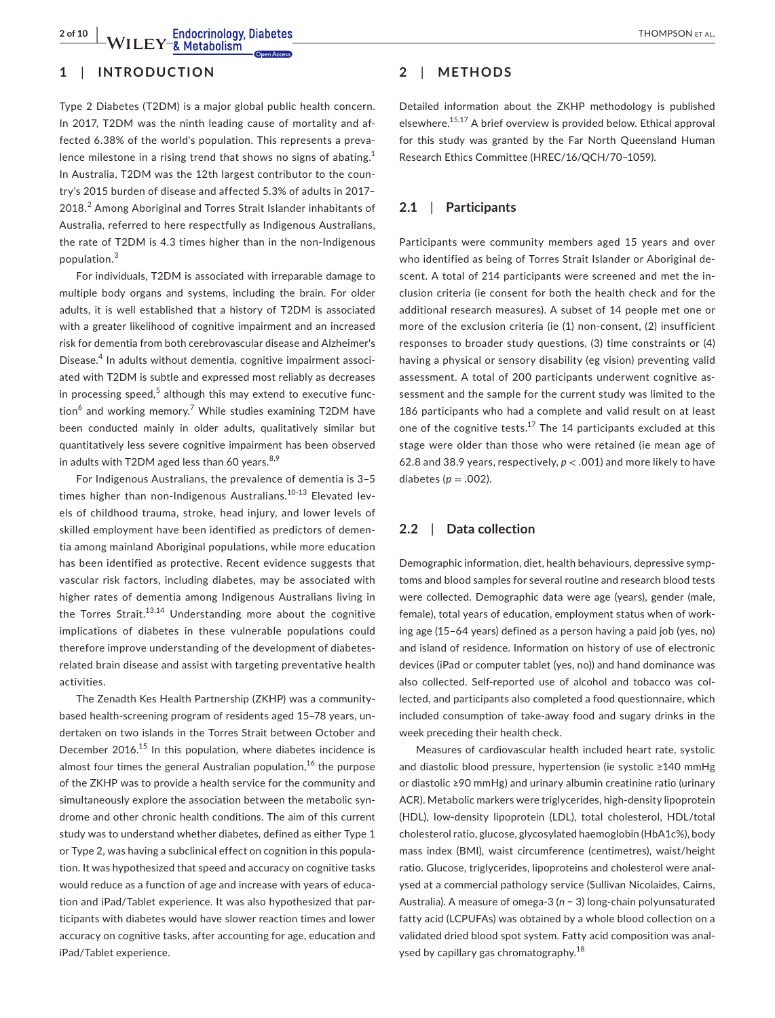**2 of 10 a Endocrinology, Diabetes 1HOMPSON ET AL.** 

# **1**  | **INTRODUCTION**

Type 2 Diabetes (T2DM) is a major global public health concern. In 2017, T2DM was the ninth leading cause of mortality and affected 6.38% of the world's population. This represents a prevalence milestone in a rising trend that shows no signs of abating.<sup>1</sup> In Australia, T2DM was the 12th largest contributor to the country's 2015 burden of disease and affected 5.3% of adults in 2017– 2018.<sup>2</sup> Among Aboriginal and Torres Strait Islander inhabitants of Australia, referred to here respectfully as Indigenous Australians, the rate of T2DM is 4.3 times higher than in the non-Indigenous population.<sup>3</sup>

For individuals, T2DM is associated with irreparable damage to multiple body organs and systems, including the brain. For older adults, it is well established that a history of T2DM is associated with a greater likelihood of cognitive impairment and an increased risk for dementia from both cerebrovascular disease and Alzheimer's Disease.<sup>4</sup> In adults without dementia, cognitive impairment associated with T2DM is subtle and expressed most reliably as decreases in processing speed, $5$  although this may extend to executive function<sup>6</sup> and working memory.<sup>7</sup> While studies examining T2DM have been conducted mainly in older adults, qualitatively similar but quantitatively less severe cognitive impairment has been observed in adults with T2DM aged less than 60 years. $8.9$ 

For Indigenous Australians, the prevalence of dementia is 3–5 times higher than non-Indigenous Australians.<sup>10-13</sup> Elevated levels of childhood trauma, stroke, head injury, and lower levels of skilled employment have been identified as predictors of dementia among mainland Aboriginal populations, while more education has been identified as protective. Recent evidence suggests that vascular risk factors, including diabetes, may be associated with higher rates of dementia among Indigenous Australians living in the Torres Strait.<sup>13,14</sup> Understanding more about the cognitive implications of diabetes in these vulnerable populations could therefore improve understanding of the development of diabetesrelated brain disease and assist with targeting preventative health activities.

The Zenadth Kes Health Partnership (ZKHP) was a communitybased health-screening program of residents aged 15–78 years, undertaken on two islands in the Torres Strait between October and December 2016.<sup>15</sup> In this population, where diabetes incidence is almost four times the general Australian population,<sup>16</sup> the purpose of the ZKHP was to provide a health service for the community and simultaneously explore the association between the metabolic syndrome and other chronic health conditions. The aim of this current study was to understand whether diabetes, defined as either Type 1 or Type 2, was having a subclinical effect on cognition in this population. It was hypothesized that speed and accuracy on cognitive tasks would reduce as a function of age and increase with years of education and iPad/Tablet experience. It was also hypothesized that participants with diabetes would have slower reaction times and lower accuracy on cognitive tasks, after accounting for age, education and iPad/Tablet experience.

# **2**  | **METHODS**

Detailed information about the ZKHP methodology is published elsewhere.15,17 A brief overview is provided below. Ethical approval for this study was granted by the Far North Queensland Human Research Ethics Committee (HREC/16/QCH/70–1059).

# **2.1**  | **Participants**

Participants were community members aged 15 years and over who identified as being of Torres Strait Islander or Aboriginal descent. A total of 214 participants were screened and met the inclusion criteria (ie consent for both the health check and for the additional research measures). A subset of 14 people met one or more of the exclusion criteria (ie (1) non-consent, (2) insufficient responses to broader study questions, (3) time constraints or (4) having a physical or sensory disability (eg vision) preventing valid assessment. A total of 200 participants underwent cognitive assessment and the sample for the current study was limited to the 186 participants who had a complete and valid result on at least one of the cognitive tests. $17$  The 14 participants excluded at this stage were older than those who were retained (ie mean age of 62.8 and 38.9 years, respectively, *p* < .001) and more likely to have diabetes ( $p = .002$ ).

# **2.2**  | **Data collection**

Demographic information, diet, health behaviours, depressive symptoms and blood samples for several routine and research blood tests were collected. Demographic data were age (years), gender (male, female), total years of education, employment status when of working age (15–64 years) defined as a person having a paid job (yes, no) and island of residence. Information on history of use of electronic devices (iPad or computer tablet (yes, no)) and hand dominance was also collected. Self-reported use of alcohol and tobacco was collected, and participants also completed a food questionnaire, which included consumption of take-away food and sugary drinks in the week preceding their health check.

Measures of cardiovascular health included heart rate, systolic and diastolic blood pressure, hypertension (ie systolic ≥140 mmHg or diastolic ≥90 mmHg) and urinary albumin creatinine ratio (urinary ACR). Metabolic markers were triglycerides, high-density lipoprotein (HDL), low-density lipoprotein (LDL), total cholesterol, HDL/total cholesterol ratio, glucose, glycosylated haemoglobin (HbA1c%), body mass index (BMI), waist circumference (centimetres), waist/height ratio. Glucose, triglycerides, lipoproteins and cholesterol were analysed at a commercial pathology service (Sullivan Nicolaides, Cairns, Australia). A measure of omega-3 (*n* − 3) long-chain polyunsaturated fatty acid (LCPUFAs) was obtained by a whole blood collection on a validated dried blood spot system. Fatty acid composition was analysed by capillary gas chromatography.<sup>18</sup>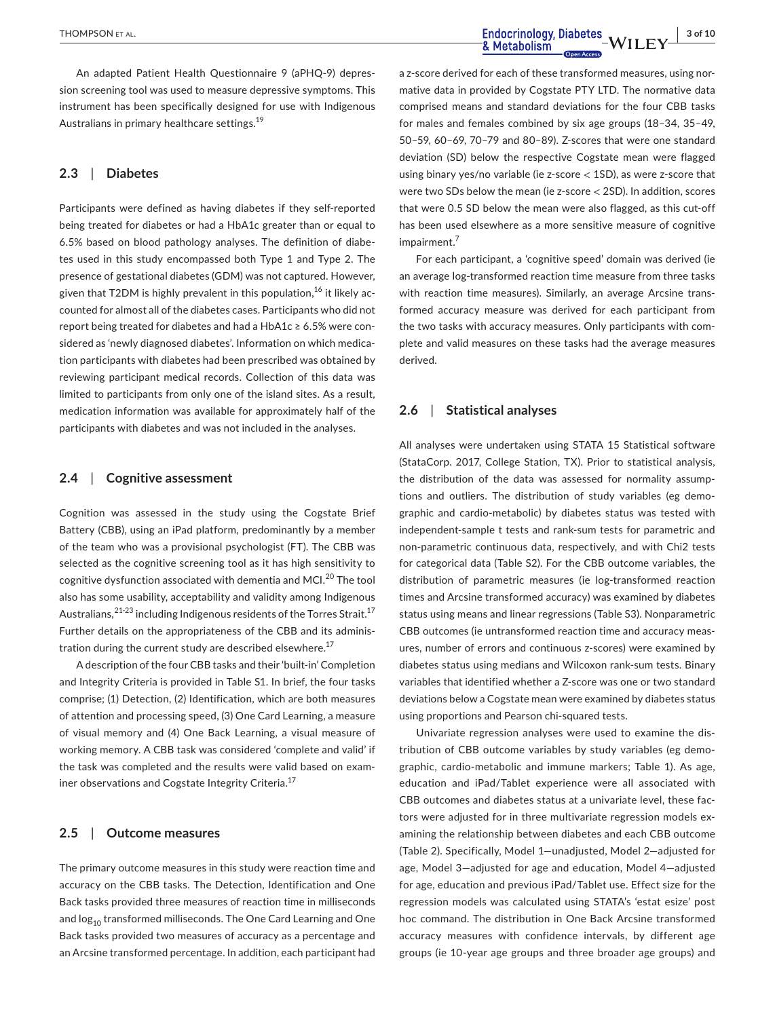An adapted Patient Health Questionnaire 9 (aPHQ-9) depression screening tool was used to measure depressive symptoms. This instrument has been specifically designed for use with Indigenous Australians in primary healthcare settings.<sup>19</sup>

# **2.3**  | **Diabetes**

Participants were defined as having diabetes if they self-reported being treated for diabetes or had a HbA1c greater than or equal to 6.5% based on blood pathology analyses. The definition of diabetes used in this study encompassed both Type 1 and Type 2. The presence of gestational diabetes (GDM) was not captured. However, given that T2DM is highly prevalent in this population, $16$  it likely accounted for almost all of the diabetes cases. Participants who did not report being treated for diabetes and had a HbA1c ≥ 6.5% were considered as 'newly diagnosed diabetes'. Information on which medication participants with diabetes had been prescribed was obtained by reviewing participant medical records. Collection of this data was limited to participants from only one of the island sites. As a result, medication information was available for approximately half of the participants with diabetes and was not included in the analyses.

### **2.4**  | **Cognitive assessment**

Cognition was assessed in the study using the Cogstate Brief Battery (CBB), using an iPad platform, predominantly by a member of the team who was a provisional psychologist (FT). The CBB was selected as the cognitive screening tool as it has high sensitivity to cognitive dysfunction associated with dementia and MCI.<sup>20</sup> The tool also has some usability, acceptability and validity among Indigenous Australians,  $2^{1-23}$  including Indigenous residents of the Torres Strait.<sup>17</sup> Further details on the appropriateness of the CBB and its administration during the current study are described elsewhere.<sup>17</sup>

A description of the four CBB tasks and their 'built-in' Completion and Integrity Criteria is provided in Table S1. In brief, the four tasks comprise; (1) Detection, (2) Identification, which are both measures of attention and processing speed, (3) One Card Learning, a measure of visual memory and (4) One Back Learning, a visual measure of working memory. A CBB task was considered 'complete and valid' if the task was completed and the results were valid based on examiner observations and Cogstate Integrity Criteria.<sup>17</sup>

# **2.5**  | **Outcome measures**

The primary outcome measures in this study were reaction time and accuracy on the CBB tasks. The Detection, Identification and One Back tasks provided three measures of reaction time in milliseconds and log<sub>10</sub> transformed milliseconds. The One Card Learning and One Back tasks provided two measures of accuracy as a percentage and an Arcsine transformed percentage. In addition, each participant had a z-score derived for each of these transformed measures, using normative data in provided by Cogstate PTY LTD. The normative data comprised means and standard deviations for the four CBB tasks for males and females combined by six age groups (18–34, 35–49, 50–59, 60–69, 70–79 and 80–89). Z-scores that were one standard deviation (SD) below the respective Cogstate mean were flagged using binary yes/no variable (ie z-score < 1SD), as were z-score that were two SDs below the mean (ie z-score < 2SD). In addition, scores that were 0.5 SD below the mean were also flagged, as this cut-off has been used elsewhere as a more sensitive measure of cognitive impairment.<sup>7</sup>

For each participant, a 'cognitive speed' domain was derived (ie an average log-transformed reaction time measure from three tasks with reaction time measures). Similarly, an average Arcsine transformed accuracy measure was derived for each participant from the two tasks with accuracy measures. Only participants with complete and valid measures on these tasks had the average measures derived.

# **2.6**  | **Statistical analyses**

All analyses were undertaken using STATA 15 Statistical software (StataCorp. 2017, College Station, TX). Prior to statistical analysis, the distribution of the data was assessed for normality assumptions and outliers. The distribution of study variables (eg demographic and cardio-metabolic) by diabetes status was tested with independent-sample t tests and rank-sum tests for parametric and non-parametric continuous data, respectively, and with Chi2 tests for categorical data (Table S2). For the CBB outcome variables, the distribution of parametric measures (ie log-transformed reaction times and Arcsine transformed accuracy) was examined by diabetes status using means and linear regressions (Table S3). Nonparametric CBB outcomes (ie untransformed reaction time and accuracy measures, number of errors and continuous z-scores) were examined by diabetes status using medians and Wilcoxon rank-sum tests. Binary variables that identified whether a Z-score was one or two standard deviations below a Cogstate mean were examined by diabetes status using proportions and Pearson chi-squared tests.

Univariate regression analyses were used to examine the distribution of CBB outcome variables by study variables (eg demographic, cardio-metabolic and immune markers; Table 1). As age, education and iPad/Tablet experience were all associated with CBB outcomes and diabetes status at a univariate level, these factors were adjusted for in three multivariate regression models examining the relationship between diabetes and each CBB outcome (Table 2). Specifically, Model 1—unadjusted, Model 2—adjusted for age, Model 3—adjusted for age and education, Model 4—adjusted for age, education and previous iPad/Tablet use. Effect size for the regression models was calculated using STATA's 'estat esize' post hoc command. The distribution in One Back Arcsine transformed accuracy measures with confidence intervals, by different age groups (ie 10-year age groups and three broader age groups) and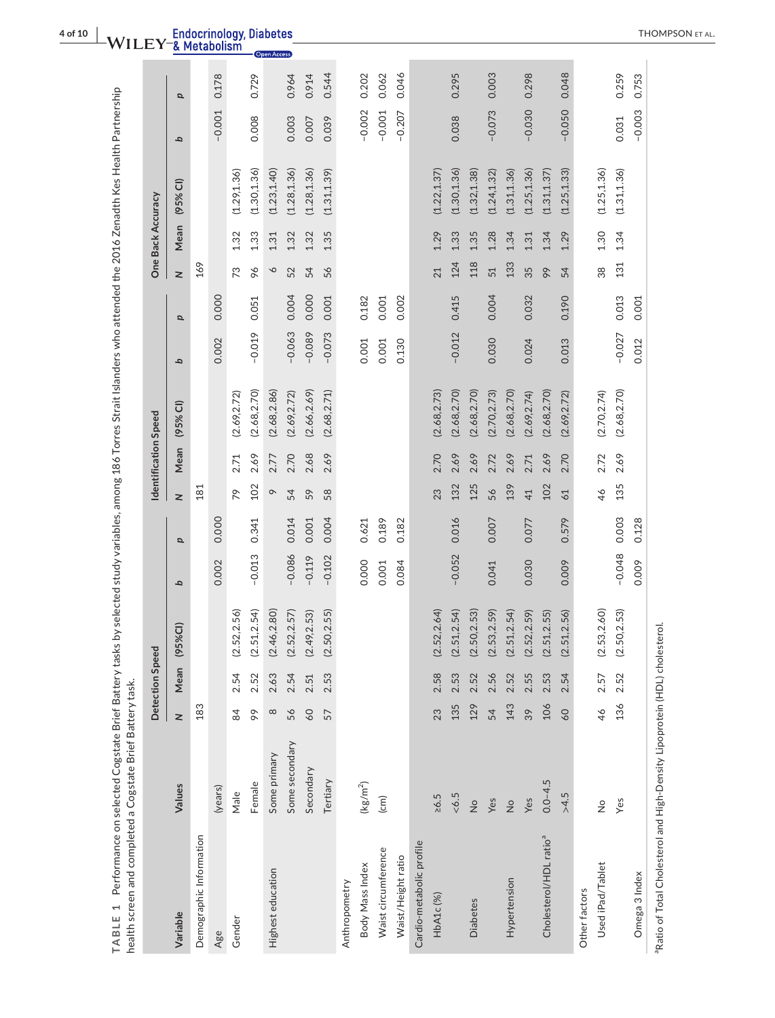| TABLE 1 Performance on selected Cogstate Brief Battery tasks<br>health screen and completed a Cogstate Brief Battery task. |                      |          |                 |                            |          |       |         |                      |              |          |          |         |                   | by selected study variables, among 186 Torres Strait Islanders who attended the 2016 Zenadth Kes Health Partnership |          |       |
|----------------------------------------------------------------------------------------------------------------------------|----------------------|----------|-----------------|----------------------------|----------|-------|---------|----------------------|--------------|----------|----------|---------|-------------------|---------------------------------------------------------------------------------------------------------------------|----------|-------|
|                                                                                                                            |                      |          | Detection Speed |                            |          |       |         | Identification Speed |              |          |          |         | One Back Accuracy |                                                                                                                     |          |       |
| Variable                                                                                                                   | Values               | $\geq$   | Mean            | <b>(D%)</b><br>(95)        | q        | p     | z       | Mean                 | $(95%$ CI)   | q        | $\sigma$ | z       | Mean              | $(95%$ CI)                                                                                                          | q        | p     |
| Demographic Information                                                                                                    |                      | 183      |                 |                            |          |       | 181     |                      |              |          |          | 169     |                   |                                                                                                                     |          |       |
| Age                                                                                                                        | (years)              |          |                 |                            | 0.002    | 0.000 |         |                      |              | 0.002    | 0.000    |         |                   |                                                                                                                     | $-0.001$ | 0.178 |
| Gender                                                                                                                     | Male                 | 84       | 2.54            | 52,2.56)<br>$\dot{\circ}$  |          |       | 79      | 2.71                 | (2.69, 2.72) |          |          | 73      | 1.32              | (1.29, 1.36)                                                                                                        |          |       |
|                                                                                                                            | Female               | $\delta$ | 2.52            | (2.51, 2.54)               | $-0.013$ | 0.341 | 102     | 2.69                 | (2.68, 2.70) | $-0.019$ | 0.051    | 96      | 1.33              | (1.30, 1.36)                                                                                                        | 0.008    | 0.729 |
| Highest education                                                                                                          | Some primary         | $\infty$ | 2.63            | (2.46, 2.80)               |          |       | $\circ$ | 2.77                 | (2.68, 2.86) |          |          | $\circ$ | 1.31              | (1.23, 1.40)                                                                                                        |          |       |
|                                                                                                                            | Some secondary       | 56       | 2.54            | (2.52, 2.57)               | $-0.086$ | 0.014 | 54      | 2.70                 | (2.69, 2.72) | $-0.063$ | 0.004    | 52      | 1.32              | (1.28, 1.36)                                                                                                        | 0.003    | 0.964 |
|                                                                                                                            | Secondary            | 60       | 2.51            | (2.49, 2.53)               | $-0.119$ | 0.001 | 59      | 2.68                 | (2.66, 2.69) | $-0.089$ | 0.000    | 54      | 1.32              | (1.28, 1.36)                                                                                                        | 0.007    | 0.914 |
|                                                                                                                            | Tertiary             | 57       | 2.53            | 50,2.55)<br>$\overline{a}$ | $-0.102$ | 0.004 | 58      | 2.69                 | (2.68, 2.71) | $-0.073$ | 0.001    | 56      | 1.35              | (1.31, 1.39)                                                                                                        | 0.039    | 0.544 |
| Anthropometry                                                                                                              |                      |          |                 |                            |          |       |         |                      |              |          |          |         |                   |                                                                                                                     |          |       |
| Body Mass Index                                                                                                            | (kg/m <sup>2</sup> ) |          |                 |                            | 0.000    | 0.621 |         |                      |              | 0.001    | 0.182    |         |                   |                                                                                                                     | $-0.002$ | 0.202 |
| Waist circumference                                                                                                        | (cm)                 |          |                 |                            | 0.001    | 0.189 |         |                      |              | 0.001    | 0.001    |         |                   |                                                                                                                     | $-0.001$ | 0.062 |
| Waist/Height ratio                                                                                                         |                      |          |                 |                            | 0.084    | 0.182 |         |                      |              | 0.130    | 0.002    |         |                   |                                                                                                                     | $-0.207$ | 0.046 |
| Cardio-metabolic profile                                                                                                   |                      |          |                 |                            |          |       |         |                      |              |          |          |         |                   |                                                                                                                     |          |       |
| HbA1c(%)                                                                                                                   | $\ge 6.5$            | 23       | 2.58            | 52,2.64)<br>$\overline{a}$ |          |       | 23      | 2.70                 | (2.68, 2.73) |          |          | 21      | 1.29              | (1.22, 1.37)                                                                                                        |          |       |
|                                                                                                                            | 5.9                  | 135      | 2.53            | (2.51, 2.54)               | $-0.052$ | 0.016 | 132     | 2.69                 | (2.68, 2.70) | $-0.012$ | 0.415    | 124     | 1.33              | (1.30, 1.36)                                                                                                        | 0.038    | 0.295 |
| <b>Diabetes</b>                                                                                                            | $\frac{1}{2}$        | 129      | 2.52            | 50,2.53)<br>$\ddot{2}$     |          |       | 125     | 2.69                 | (2.68, 2.70) |          |          | 118     | 1.35              | (1.32, 1.38)                                                                                                        |          |       |
|                                                                                                                            | Yes                  | 54       | 2.56            | 53,2.59)<br>$\ddot{S}$     | 0.041    | 0.007 | 56      | 2.72                 | (2.70, 2.73) | 0.030    | 0.004    | 51      | 1.28              | (1.24, 1.32)                                                                                                        | $-0.073$ | 0.003 |
| Hypertension                                                                                                               | $\frac{1}{2}$        | 143      | 2.52            | 51, 2.54<br>$\overline{a}$ |          |       | 139     | 2.69                 | (2.68, 2.70) |          |          | 133     | 1.34              | (1.31, 1.36)                                                                                                        |          |       |
|                                                                                                                            | Yes                  | 39       | 2.55            | 52,2.59)<br>$\overline{a}$ | 0.030    | 0.077 | 41      | 2.71                 | (2.69, 2.74) | 0.024    | 0.032    | 35      | 1.31              | (1.25, 1.36)                                                                                                        | $-0.030$ | 0.298 |
| Cholesterol/HDL ratio <sup>a</sup>                                                                                         | $0.0 - 4.5$          | 106      | 2.53            | 51,2.55)<br>$\overline{a}$ |          |       | 102     | 2.69                 | (2.68, 2.70) |          |          | 99      | 1.34              | (1.31, 1.37)                                                                                                        |          |       |
|                                                                                                                            | >4.5                 | 60       | 2.54            | 51,2.56)<br>G.             | 0.009    | 0.579 | 61      | 2.70                 | (2.69, 2.72) | 0.013    | 0.190    | 54      | 1.29              | (1.25, 1.33)                                                                                                        | $-0.050$ | 0.048 |
| Other factors                                                                                                              |                      |          |                 |                            |          |       |         |                      |              |          |          |         |                   |                                                                                                                     |          |       |
| Used iPad/Tablet                                                                                                           | $\frac{1}{2}$        | 46       | 2.57            | (2.53, 2.60)               |          |       | 46      | 2.72                 | (2.70, 2.74) |          |          | 38      | 1.30              | (1.25, 1.36)                                                                                                        |          |       |
|                                                                                                                            | Yes                  | 136      | 2.52            | 50,2.53)<br>G.             | $-0.048$ | 0.003 | 135     | 2.69                 | (2.68, 2.70) | $-0.027$ | 0.013    | 131     | 1.34              | (1.31, 1.36)                                                                                                        | 0.031    | 0.259 |
| Omega 3 Index                                                                                                              |                      |          |                 |                            | 0.009    | 0.128 |         |                      |              | 0.012    | 0.001    |         |                   |                                                                                                                     | $-0.003$ | 0.753 |
|                                                                                                                            |                      |          |                 |                            |          |       |         |                      |              |          |          |         |                   |                                                                                                                     |          |       |

<sup>a</sup>Ratio of Total Cholesterol and High-Density Lipoprotein (HDL) cholesterol. aRatio of Total Cholesterol and High-Density Lipoprotein (HDL) cholesterol.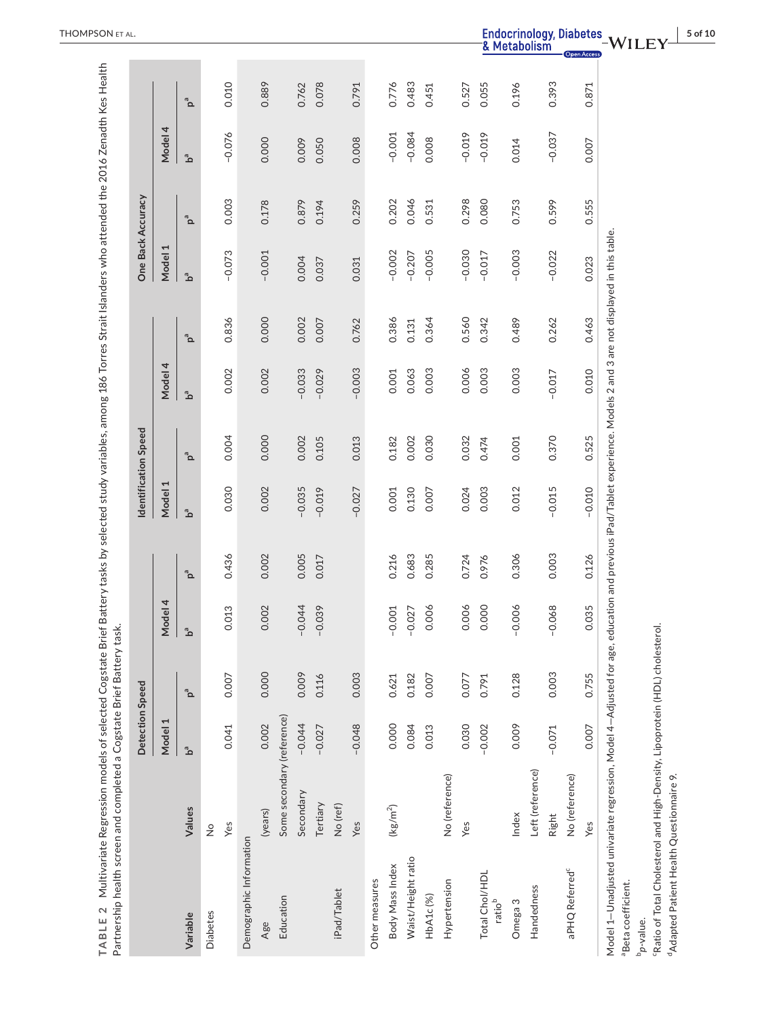| $\mathbf{a}^{\mathbf{a}}$<br>Model 1<br>0.030<br>0.002<br>$-0.035$<br>0.130<br>0.003<br>0.012<br>$-0.019$<br>$-0.027$<br>0.001<br>0.007<br>0.024<br>ەً<br>0.436<br>0.005<br>0.683<br>0.285<br>0.306<br>0.002<br>0.216<br>0.017<br>0.724<br>0.976<br>$\mathbf{p}^{\mathbf{a}}$<br>Model 4<br>0.002<br>$-0.044$<br>0.006<br>0.006<br>0.000<br>$-0.006$<br>0.013<br>$-0.039$<br>$-0.027$<br>$-0.001$<br>ەً<br>0.000<br>0.009<br>0.003<br>0.007<br>0.116<br>0.128<br>0.621<br>0.182<br>0.077<br>0.007<br>0.791<br>$\mathbf{p}^{\mathbf{a}}$<br>Some secondary (reference)<br>Model 1<br>$-0.044$<br>0.000<br>$-0.048$<br>0.030<br>$-0.002$<br>0.009<br>0.002<br>0.084<br>0.041<br>0.013<br>$-0.027$<br>ەً<br>Left (reference)<br>No (reference)<br>Secondary<br>Tertiary<br>No (ref)<br>$(kg/m^2)$<br>Values<br>(years)<br>Index<br>Yes<br>Yes<br>Yes<br>$\frac{1}{2}$<br>Demographic Information<br>Waist/Height ratio<br>Body Mass Index<br>Total Chol/HDL<br>Other measures<br>Hypertension<br>Handedness<br>iPad/Tablet<br>HbA1c(%)<br>Education<br>ratio <sup>b</sup><br>Omega 3<br><b>Diabetes</b><br>Variable<br>Age |                   |       |          | 0.004<br>0.000<br>0.002<br>0.105 | Model 4<br>0.002<br>0.002<br>ەً | 0.836<br>0.000<br>$\mathbf{p}^{\mathbf{a}}$ | Model 1<br>ەً | $\mathbf{p}^{\mathbf{a}}$ | Model 4  |                           |
|-------------------------------------------------------------------------------------------------------------------------------------------------------------------------------------------------------------------------------------------------------------------------------------------------------------------------------------------------------------------------------------------------------------------------------------------------------------------------------------------------------------------------------------------------------------------------------------------------------------------------------------------------------------------------------------------------------------------------------------------------------------------------------------------------------------------------------------------------------------------------------------------------------------------------------------------------------------------------------------------------------------------------------------------------------------------------------------------------------------------------|-------------------|-------|----------|----------------------------------|---------------------------------|---------------------------------------------|---------------|---------------------------|----------|---------------------------|
|                                                                                                                                                                                                                                                                                                                                                                                                                                                                                                                                                                                                                                                                                                                                                                                                                                                                                                                                                                                                                                                                                                                         |                   |       |          |                                  |                                 |                                             |               |                           |          |                           |
|                                                                                                                                                                                                                                                                                                                                                                                                                                                                                                                                                                                                                                                                                                                                                                                                                                                                                                                                                                                                                                                                                                                         |                   |       |          |                                  |                                 |                                             |               |                           | مَّ      | $\mathbf{p}^{\mathbf{a}}$ |
|                                                                                                                                                                                                                                                                                                                                                                                                                                                                                                                                                                                                                                                                                                                                                                                                                                                                                                                                                                                                                                                                                                                         |                   |       |          |                                  |                                 |                                             |               |                           |          |                           |
|                                                                                                                                                                                                                                                                                                                                                                                                                                                                                                                                                                                                                                                                                                                                                                                                                                                                                                                                                                                                                                                                                                                         |                   |       |          |                                  |                                 |                                             | $-0.073$      | 0.003                     | $-0.076$ | 0.010                     |
|                                                                                                                                                                                                                                                                                                                                                                                                                                                                                                                                                                                                                                                                                                                                                                                                                                                                                                                                                                                                                                                                                                                         |                   |       |          |                                  |                                 |                                             |               |                           |          |                           |
|                                                                                                                                                                                                                                                                                                                                                                                                                                                                                                                                                                                                                                                                                                                                                                                                                                                                                                                                                                                                                                                                                                                         |                   |       |          |                                  |                                 |                                             | $-0.001$      | 0.178                     | 0.000    | 0.889                     |
|                                                                                                                                                                                                                                                                                                                                                                                                                                                                                                                                                                                                                                                                                                                                                                                                                                                                                                                                                                                                                                                                                                                         |                   |       |          |                                  |                                 |                                             |               |                           |          |                           |
|                                                                                                                                                                                                                                                                                                                                                                                                                                                                                                                                                                                                                                                                                                                                                                                                                                                                                                                                                                                                                                                                                                                         |                   |       |          |                                  | $-0.033$                        | 0.002                                       | 0.004         | 0.879                     | 0.009    | 0.762                     |
|                                                                                                                                                                                                                                                                                                                                                                                                                                                                                                                                                                                                                                                                                                                                                                                                                                                                                                                                                                                                                                                                                                                         |                   |       |          |                                  | $-0.029$                        | 0.007                                       | 0.037         | 0.194                     | 0.050    | 0.078                     |
|                                                                                                                                                                                                                                                                                                                                                                                                                                                                                                                                                                                                                                                                                                                                                                                                                                                                                                                                                                                                                                                                                                                         |                   |       |          |                                  |                                 |                                             |               |                           |          |                           |
|                                                                                                                                                                                                                                                                                                                                                                                                                                                                                                                                                                                                                                                                                                                                                                                                                                                                                                                                                                                                                                                                                                                         |                   |       |          | 0.013                            | $-0.003$                        | 0.762                                       | 0.031         | 0.259                     | 0.008    | 0.791                     |
|                                                                                                                                                                                                                                                                                                                                                                                                                                                                                                                                                                                                                                                                                                                                                                                                                                                                                                                                                                                                                                                                                                                         |                   |       |          |                                  |                                 |                                             |               |                           |          |                           |
|                                                                                                                                                                                                                                                                                                                                                                                                                                                                                                                                                                                                                                                                                                                                                                                                                                                                                                                                                                                                                                                                                                                         |                   |       |          | 0.182                            | 0.001                           | 0.386                                       | $-0.002$      | 0.202                     | $-0.001$ | 0.776                     |
|                                                                                                                                                                                                                                                                                                                                                                                                                                                                                                                                                                                                                                                                                                                                                                                                                                                                                                                                                                                                                                                                                                                         |                   |       |          | 0.002                            | 0.063                           | 0.131                                       | $-0.207$      | 0.046                     | $-0.084$ | 0.483                     |
|                                                                                                                                                                                                                                                                                                                                                                                                                                                                                                                                                                                                                                                                                                                                                                                                                                                                                                                                                                                                                                                                                                                         |                   |       |          | 0.030                            | 0.003                           | 0.364                                       | $-0.005$      | 0.531                     | 0.008    | 0.451                     |
|                                                                                                                                                                                                                                                                                                                                                                                                                                                                                                                                                                                                                                                                                                                                                                                                                                                                                                                                                                                                                                                                                                                         |                   |       |          |                                  |                                 |                                             |               |                           |          |                           |
|                                                                                                                                                                                                                                                                                                                                                                                                                                                                                                                                                                                                                                                                                                                                                                                                                                                                                                                                                                                                                                                                                                                         |                   |       |          | 0.032                            | 0.006                           | 0.560                                       | $-0.030$      | 0.298                     | $-0.019$ | 0.527                     |
|                                                                                                                                                                                                                                                                                                                                                                                                                                                                                                                                                                                                                                                                                                                                                                                                                                                                                                                                                                                                                                                                                                                         |                   |       |          | 0.474                            | 0.003                           | 0.342                                       | $-0.017$      | 0.080                     | $-0.019$ | 0.055                     |
|                                                                                                                                                                                                                                                                                                                                                                                                                                                                                                                                                                                                                                                                                                                                                                                                                                                                                                                                                                                                                                                                                                                         |                   |       |          | 0.001                            | 0.003                           | 0.489                                       | $-0.003$      | 0.753                     | 0.014    | 0.196                     |
|                                                                                                                                                                                                                                                                                                                                                                                                                                                                                                                                                                                                                                                                                                                                                                                                                                                                                                                                                                                                                                                                                                                         |                   |       |          |                                  |                                 |                                             |               |                           |          |                           |
| $-0.068$<br>Right                                                                                                                                                                                                                                                                                                                                                                                                                                                                                                                                                                                                                                                                                                                                                                                                                                                                                                                                                                                                                                                                                                       | 0.003<br>$-0.071$ | 0.003 | $-0.015$ | 0.370                            | $-0.017$                        | 0.262                                       | $-0.022$      | 0.599                     | $-0.037$ | 0.393                     |
| No (reference)<br>aPHQ Referred <sup>c</sup>                                                                                                                                                                                                                                                                                                                                                                                                                                                                                                                                                                                                                                                                                                                                                                                                                                                                                                                                                                                                                                                                            |                   |       |          |                                  |                                 |                                             |               |                           |          |                           |
| $-0.010$<br>0.126<br>0.035<br>0.755<br>0.007<br>Yes                                                                                                                                                                                                                                                                                                                                                                                                                                                                                                                                                                                                                                                                                                                                                                                                                                                                                                                                                                                                                                                                     |                   |       |          | 0.525                            | 0.010                           | 0.463                                       | 0.023         | 0.555                     | 0.007    | 0.871                     |

TABLE 2 Multivariate Regression models of selected Cogstate Brief Battery tasks by selected study variables, among 186 Torres Strait Islanders who attended the 2016 Zenadth Kes Health **TABLE 2** Multivariate Regression models of selected Cogstate Brief Battery tasks by selected study variables, among 186 Torres Strait Islanders who attended the 2016 Zenadth Kes Health

aBeta coefficient. aBeta coefficient.

b*p*-value.

"Ratio of Total Cholesterol and High-Density, Lipoprotein (HDL) cholesterol. cRatio of Total Cholesterol and High-Density, Lipoprotein (HDL) cholesterol.

<sup>d</sup>Adapted Patient Health Questionnaire 9. dAdapted Patient Health Questionnaire 9.

Open Access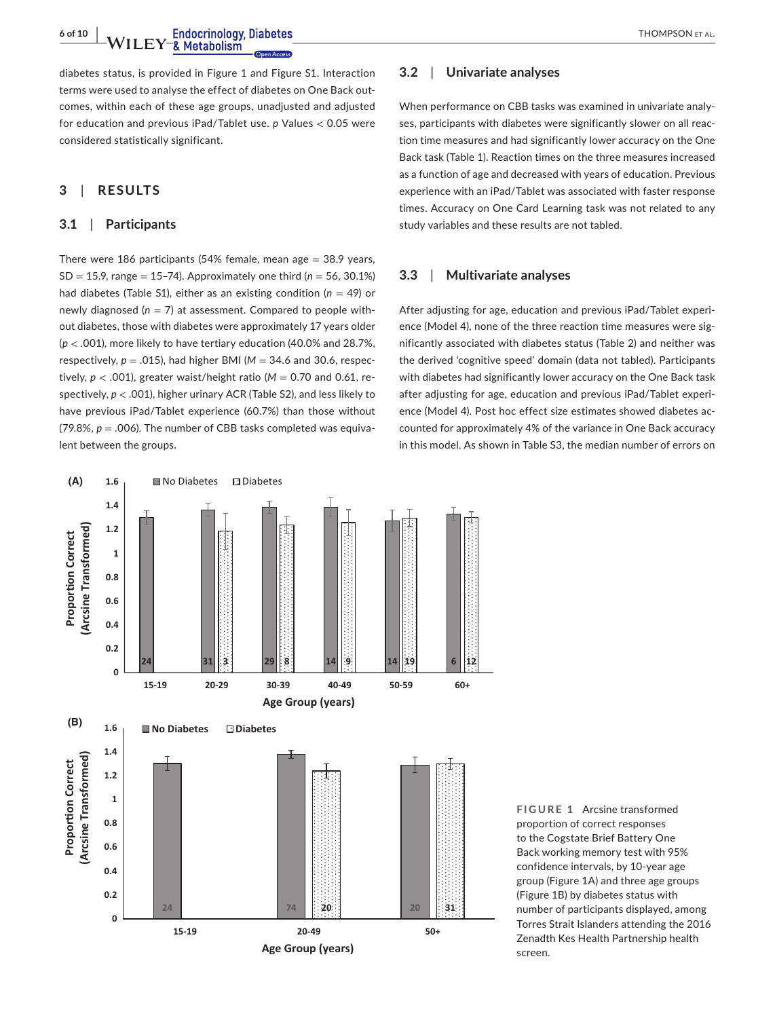**6 of 10 | WILEY-& Metabolism** Endocrinology, Diabetes **MEXICAL EXAMPSON ET AL.** 

diabetes status, is provided in Figure 1 and Figure S1. Interaction terms were used to analyse the effect of diabetes on One Back outcomes, within each of these age groups, unadjusted and adjusted for education and previous iPad/Tablet use. *p* Values < 0.05 were considered statistically significant.

# **3**  | **RESULTS**

## **3.1**  | **Participants**

There were 186 participants (54% female, mean age  $=$  38.9 years,  $SD = 15.9$ , range = 15-74). Approximately one third ( $n = 56$ , 30.1%) had diabetes (Table S1), either as an existing condition (*n* = 49) or newly diagnosed (*n* = 7) at assessment. Compared to people without diabetes, those with diabetes were approximately 17 years older (*p* < .001), more likely to have tertiary education (40.0% and 28.7%, respectively, *p* = .015), had higher BMI (*M* = 34.6 and 30.6, respectively,  $p < .001$ ), greater waist/height ratio ( $M = 0.70$  and 0.61, respectively, *p* < .001), higher urinary ACR (Table S2), and less likely to have previous iPad/Tablet experience (60.7%) than those without  $(79.8\%, p = .006)$ . The number of CBB tasks completed was equivalent between the groups.

# **3.2**  | **Univariate analyses**

When performance on CBB tasks was examined in univariate analyses, participants with diabetes were significantly slower on all reaction time measures and had significantly lower accuracy on the One Back task (Table 1). Reaction times on the three measures increased as a function of age and decreased with years of education. Previous experience with an iPad/Tablet was associated with faster response times. Accuracy on One Card Learning task was not related to any study variables and these results are not tabled.

## **3.3**  | **Multivariate analyses**

After adjusting for age, education and previous iPad/Tablet experience (Model 4), none of the three reaction time measures were significantly associated with diabetes status (Table 2) and neither was the derived 'cognitive speed' domain (data not tabled). Participants with diabetes had significantly lower accuracy on the One Back task after adjusting for age, education and previous iPad/Tablet experience (Model 4). Post hoc effect size estimates showed diabetes accounted for approximately 4% of the variance in One Back accuracy in this model. As shown in Table S3, the median number of errors on



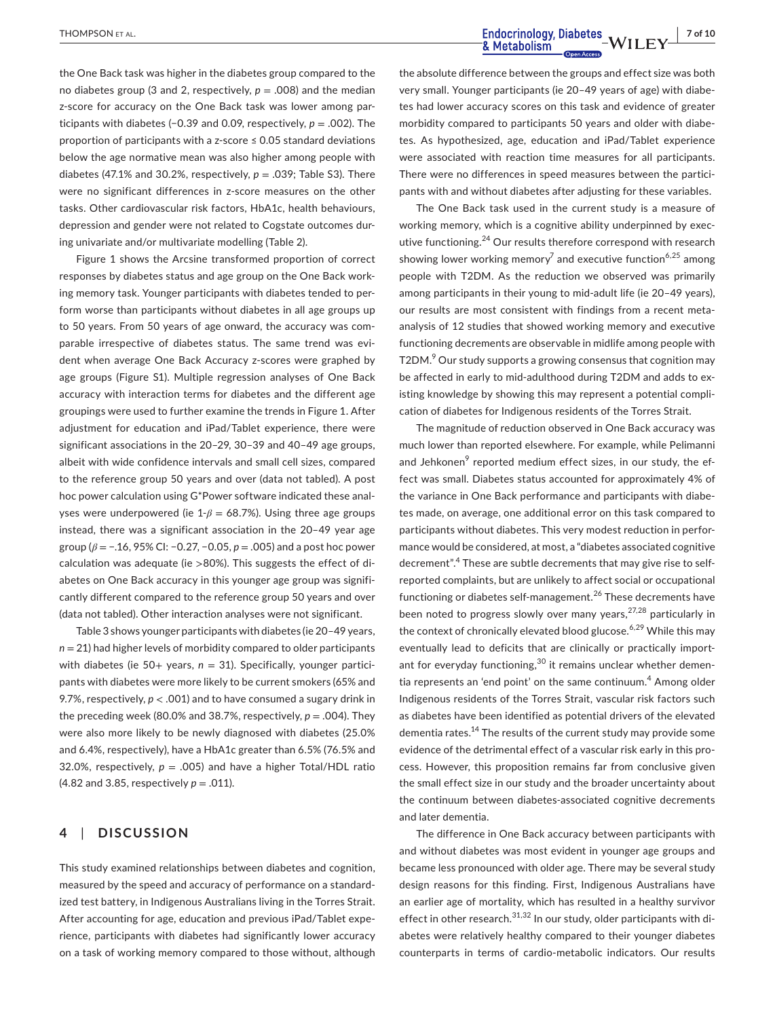the One Back task was higher in the diabetes group compared to the no diabetes group (3 and 2, respectively,  $p = .008$ ) and the median z-score for accuracy on the One Back task was lower among participants with diabetes (−0.39 and 0.09, respectively, *p* = .002). The proportion of participants with a z-score ≤ 0.05 standard deviations below the age normative mean was also higher among people with diabetes (47.1% and 30.2%, respectively, *p* = .039; Table S3). There were no significant differences in z-score measures on the other tasks. Other cardiovascular risk factors, HbA1c, health behaviours, depression and gender were not related to Cogstate outcomes during univariate and/or multivariate modelling (Table 2).

Figure 1 shows the Arcsine transformed proportion of correct responses by diabetes status and age group on the One Back working memory task. Younger participants with diabetes tended to perform worse than participants without diabetes in all age groups up to 50 years. From 50 years of age onward, the accuracy was comparable irrespective of diabetes status. The same trend was evident when average One Back Accuracy z-scores were graphed by age groups (Figure S1). Multiple regression analyses of One Back accuracy with interaction terms for diabetes and the different age groupings were used to further examine the trends in Figure 1. After adjustment for education and iPad/Tablet experience, there were significant associations in the 20–29, 30–39 and 40–49 age groups, albeit with wide confidence intervals and small cell sizes, compared to the reference group 50 years and over (data not tabled). A post hoc power calculation using G\*Power software indicated these analyses were underpowered (ie 1-*β* = 68.7%). Using three age groups instead, there was a significant association in the 20–49 year age group (*β* = −.16, 95% CI: −0.27, −0.05, *p* = .005) and a post hoc power calculation was adequate (ie >80%). This suggests the effect of diabetes on One Back accuracy in this younger age group was significantly different compared to the reference group 50 years and over (data not tabled). Other interaction analyses were not significant.

Table 3 shows younger participants with diabetes (ie 20–49 years, *n* = 21) had higher levels of morbidity compared to older participants with diabetes (ie 50+ years, *n* = 31). Specifically, younger participants with diabetes were more likely to be current smokers (65% and 9.7%, respectively, *p* < .001) and to have consumed a sugary drink in the preceding week (80.0% and 38.7%, respectively,  $p = .004$ ). They were also more likely to be newly diagnosed with diabetes (25.0% and 6.4%, respectively), have a HbA1c greater than 6.5% (76.5% and 32.0%, respectively,  $p = .005$ ) and have a higher Total/HDL ratio (4.82 and 3.85, respectively *p* = .011).

# **4**  | **DISCUSSION**

This study examined relationships between diabetes and cognition, measured by the speed and accuracy of performance on a standardized test battery, in Indigenous Australians living in the Torres Strait. After accounting for age, education and previous iPad/Tablet experience, participants with diabetes had significantly lower accuracy on a task of working memory compared to those without, although

the absolute difference between the groups and effect size was both very small. Younger participants (ie 20–49 years of age) with diabetes had lower accuracy scores on this task and evidence of greater morbidity compared to participants 50 years and older with diabetes. As hypothesized, age, education and iPad/Tablet experience were associated with reaction time measures for all participants. There were no differences in speed measures between the participants with and without diabetes after adjusting for these variables.

The One Back task used in the current study is a measure of working memory, which is a cognitive ability underpinned by executive functioning.<sup>24</sup> Our results therefore correspond with research showing lower working memory<sup>7</sup> and executive function<sup>6,25</sup> among people with T2DM. As the reduction we observed was primarily among participants in their young to mid-adult life (ie 20–49 years), our results are most consistent with findings from a recent metaanalysis of 12 studies that showed working memory and executive functioning decrements are observable in midlife among people with T2DM.<sup>9</sup> Our study supports a growing consensus that cognition may be affected in early to mid-adulthood during T2DM and adds to existing knowledge by showing this may represent a potential complication of diabetes for Indigenous residents of the Torres Strait.

The magnitude of reduction observed in One Back accuracy was much lower than reported elsewhere. For example, while Pelimanni and Jehkonen $9$  reported medium effect sizes, in our study, the effect was small. Diabetes status accounted for approximately 4% of the variance in One Back performance and participants with diabetes made, on average, one additional error on this task compared to participants without diabetes. This very modest reduction in performance would be considered, at most, a "diabetes associated cognitive decrement".<sup>4</sup> These are subtle decrements that may give rise to selfreported complaints, but are unlikely to affect social or occupational functioning or diabetes self-management.<sup>26</sup> These decrements have been noted to progress slowly over many years,  $27,28$  particularly in the context of chronically elevated blood glucose.<sup>6,29</sup> While this mav eventually lead to deficits that are clinically or practically important for everyday functioning,<sup>30</sup> it remains unclear whether dementia represents an 'end point' on the same continuum.<sup>4</sup> Among older Indigenous residents of the Torres Strait, vascular risk factors such as diabetes have been identified as potential drivers of the elevated dementia rates.<sup>14</sup> The results of the current study may provide some evidence of the detrimental effect of a vascular risk early in this process. However, this proposition remains far from conclusive given the small effect size in our study and the broader uncertainty about the continuum between diabetes-associated cognitive decrements and later dementia.

The difference in One Back accuracy between participants with and without diabetes was most evident in younger age groups and became less pronounced with older age. There may be several study design reasons for this finding. First, Indigenous Australians have an earlier age of mortality, which has resulted in a healthy survivor effect in other research. $31,32$  In our study, older participants with diabetes were relatively healthy compared to their younger diabetes counterparts in terms of cardio-metabolic indicators. Our results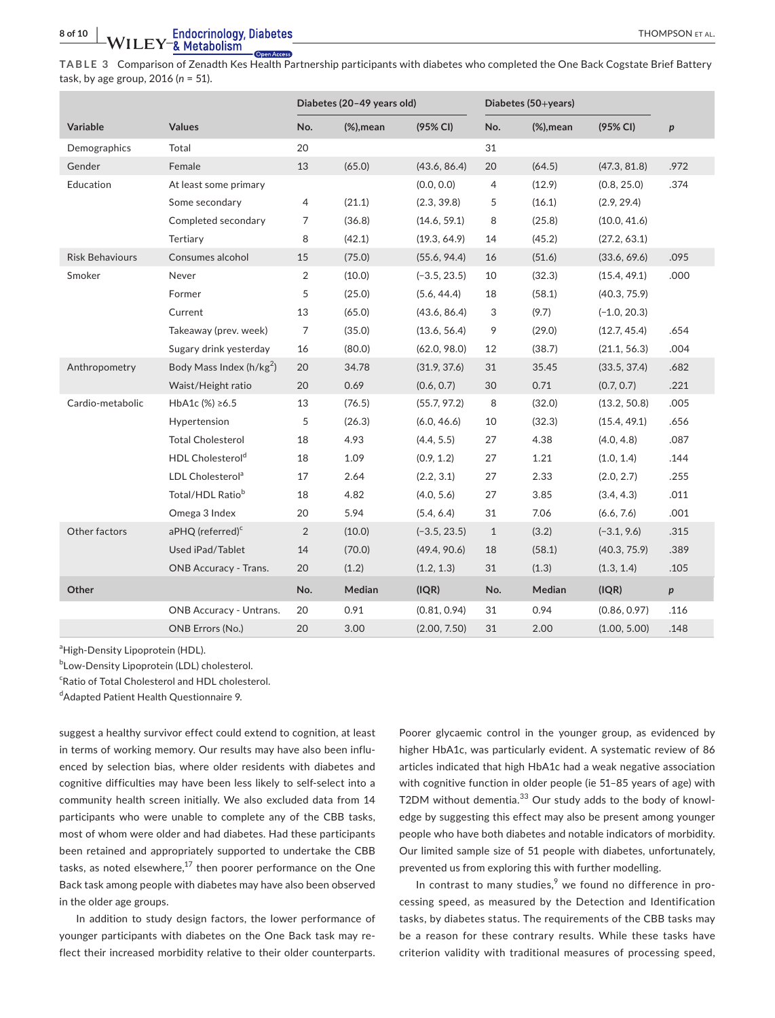**TABLE 3** Comparison of Zenadth Kes Health Partnership participants with diabetes who completed the One Back Cogstate Brief Battery task, by age group, 2016 (*n* = 51).

|                        |                                      |                | Diabetes (20-49 years old)      |                | Diabetes (50+years) |                                 |                |                  |
|------------------------|--------------------------------------|----------------|---------------------------------|----------------|---------------------|---------------------------------|----------------|------------------|
| Variable               | <b>Values</b>                        | No.            | $(% \mathcal{L}_{0})$ (%), mean | (95% CI)       | No.                 | $(% \mathcal{L}_{0})$ (%), mean | (95% CI)       | $\boldsymbol{p}$ |
| Demographics           | Total                                | 20             |                                 |                | 31                  |                                 |                |                  |
| Gender                 | Female                               | 13             | (65.0)                          | (43.6, 86.4)   | 20                  | (64.5)                          | (47.3, 81.8)   | .972             |
| Education              | At least some primary                |                |                                 | (0.0, 0.0)     | $\overline{4}$      | (12.9)                          | (0.8, 25.0)    | .374             |
|                        | Some secondary                       | 4              | (21.1)                          | (2.3, 39.8)    | 5                   | (16.1)                          | (2.9, 29.4)    |                  |
|                        | Completed secondary                  | 7              | (36.8)                          | (14.6, 59.1)   | 8                   | (25.8)                          | (10.0, 41.6)   |                  |
|                        | Tertiary                             | 8              | (42.1)                          | (19.3, 64.9)   | 14                  | (45.2)                          | (27.2, 63.1)   |                  |
| <b>Risk Behaviours</b> | Consumes alcohol                     | 15             | (75.0)                          | (55.6, 94.4)   | 16                  | (51.6)                          | (33.6, 69.6)   | .095             |
| Smoker                 | Never                                | 2              | (10.0)                          | $(-3.5, 23.5)$ | 10                  | (32.3)                          | (15.4, 49.1)   | .000             |
|                        | Former                               | 5              | (25.0)                          | (5.6, 44.4)    | 18                  | (58.1)                          | (40.3, 75.9)   |                  |
|                        | Current                              | 13             | (65.0)                          | (43.6, 86.4)   | 3                   | (9.7)                           | $(-1.0, 20.3)$ |                  |
|                        | Takeaway (prev. week)                | 7              | (35.0)                          | (13.6, 56.4)   | 9                   | (29.0)                          | (12.7, 45.4)   | .654             |
|                        | Sugary drink yesterday               | 16             | (80.0)                          | (62.0, 98.0)   | 12                  | (38.7)                          | (21.1, 56.3)   | .004             |
| Anthropometry          | Body Mass Index (h/kg <sup>2</sup> ) | 20             | 34.78                           | (31.9, 37.6)   | 31                  | 35.45                           | (33.5, 37.4)   | .682             |
|                        | Waist/Height ratio                   | 20             | 0.69                            | (0.6, 0.7)     | 30                  | 0.71                            | (0.7, 0.7)     | .221             |
| Cardio-metabolic       | HbA1c (%) ≥6.5                       | 13             | (76.5)                          | (55.7, 97.2)   | 8                   | (32.0)                          | (13.2, 50.8)   | .005             |
|                        | Hypertension                         | 5              | (26.3)                          | (6.0, 46.6)    | 10                  | (32.3)                          | (15.4, 49.1)   | .656             |
|                        | <b>Total Cholesterol</b>             | 18             | 4.93                            | (4.4, 5.5)     | 27                  | 4.38                            | (4.0, 4.8)     | .087             |
|                        | HDL Cholesterol <sup>d</sup>         | 18             | 1.09                            | (0.9, 1.2)     | 27                  | 1.21                            | (1.0, 1.4)     | .144             |
|                        | LDL Cholesterol <sup>a</sup>         | 17             | 2.64                            | (2.2, 3.1)     | 27                  | 2.33                            | (2.0, 2.7)     | .255             |
|                        | Total/HDL Ratio <sup>b</sup>         | 18             | 4.82                            | (4.0, 5.6)     | 27                  | 3.85                            | (3.4, 4.3)     | .011             |
|                        | Omega 3 Index                        | 20             | 5.94                            | (5.4, 6.4)     | 31                  | 7.06                            | (6.6, 7.6)     | .001             |
| Other factors          | aPHQ (referred) <sup>c</sup>         | $\overline{2}$ | (10.0)                          | $(-3.5, 23.5)$ | $\mathbf{1}$        | (3.2)                           | $(-3.1, 9.6)$  | .315             |
|                        | Used iPad/Tablet                     | 14             | (70.0)                          | (49.4, 90.6)   | 18                  | (58.1)                          | (40.3, 75.9)   | .389             |
|                        | <b>ONB Accuracy - Trans.</b>         | 20             | (1.2)                           | (1.2, 1.3)     | 31                  | (1.3)                           | (1.3, 1.4)     | .105             |
| Other                  |                                      | No.            | Median                          | (IQR)          | No.                 | Median                          | (IQR)          | p                |
|                        | ONB Accuracy - Untrans.              | 20             | 0.91                            | (0.81, 0.94)   | 31                  | 0.94                            | (0.86, 0.97)   | .116             |
|                        | ONB Errors (No.)                     | 20             | 3.00                            | (2.00, 7.50)   | 31                  | 2.00                            | (1.00, 5.00)   | .148             |

<sup>a</sup>High-Density Lipoprotein (HDL).

**bLow-Density Lipoprotein (LDL) cholesterol.** 

<sup>c</sup>Ratio of Total Cholesterol and HDL cholesterol.

d Adapted Patient Health Questionnaire 9.

suggest a healthy survivor effect could extend to cognition, at least in terms of working memory. Our results may have also been influenced by selection bias, where older residents with diabetes and cognitive difficulties may have been less likely to self-select into a community health screen initially. We also excluded data from 14 participants who were unable to complete any of the CBB tasks, most of whom were older and had diabetes. Had these participants been retained and appropriately supported to undertake the CBB tasks, as noted elsewhere, $^{17}$  then poorer performance on the One Back task among people with diabetes may have also been observed in the older age groups.

In addition to study design factors, the lower performance of younger participants with diabetes on the One Back task may reflect their increased morbidity relative to their older counterparts.

Poorer glycaemic control in the younger group, as evidenced by higher HbA1c, was particularly evident. A systematic review of 86 articles indicated that high HbA1c had a weak negative association with cognitive function in older people (ie 51–85 years of age) with T2DM without dementia.<sup>33</sup> Our study adds to the body of knowledge by suggesting this effect may also be present among younger people who have both diabetes and notable indicators of morbidity. Our limited sample size of 51 people with diabetes, unfortunately, prevented us from exploring this with further modelling.

In contrast to many studies, $9$  we found no difference in processing speed, as measured by the Detection and Identification tasks, by diabetes status. The requirements of the CBB tasks may be a reason for these contrary results. While these tasks have criterion validity with traditional measures of processing speed,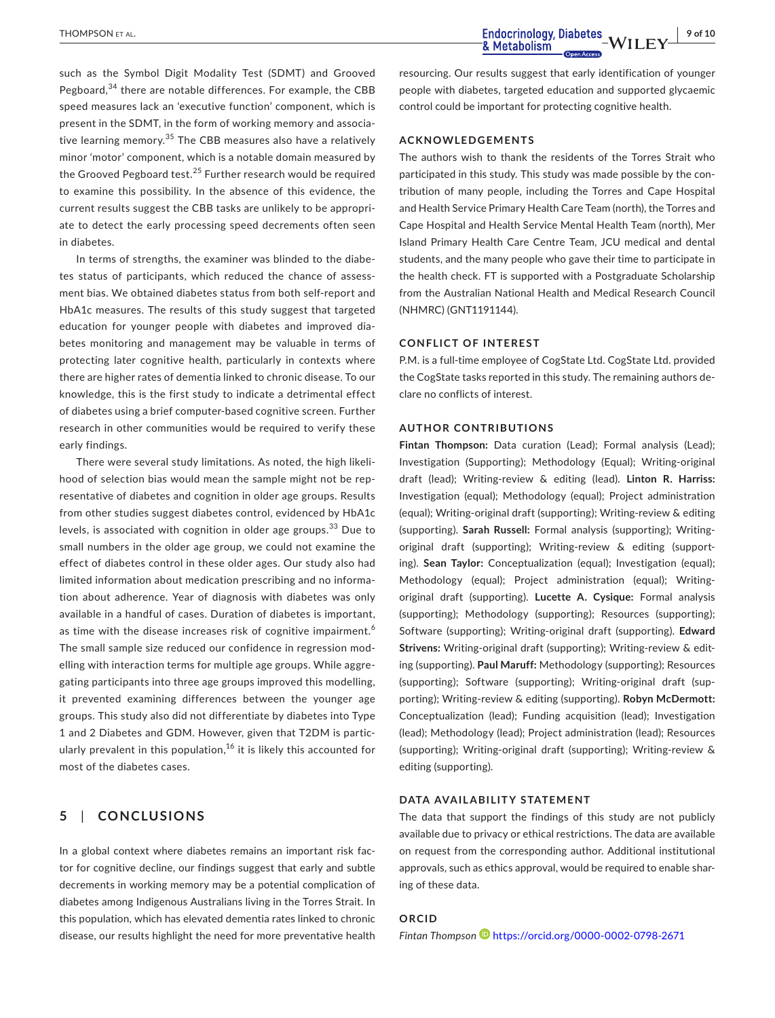such as the Symbol Digit Modality Test (SDMT) and Grooved Pegboard,<sup>34</sup> there are notable differences. For example, the CBB speed measures lack an 'executive function' component, which is present in the SDMT, in the form of working memory and associative learning memory.<sup>35</sup> The CBB measures also have a relatively minor 'motor' component, which is a notable domain measured by the Grooved Pegboard test.<sup>25</sup> Further research would be required to examine this possibility. In the absence of this evidence, the current results suggest the CBB tasks are unlikely to be appropriate to detect the early processing speed decrements often seen in diabetes.

In terms of strengths, the examiner was blinded to the diabetes status of participants, which reduced the chance of assessment bias. We obtained diabetes status from both self-report and HbA1c measures. The results of this study suggest that targeted education for younger people with diabetes and improved diabetes monitoring and management may be valuable in terms of protecting later cognitive health, particularly in contexts where there are higher rates of dementia linked to chronic disease. To our knowledge, this is the first study to indicate a detrimental effect of diabetes using a brief computer-based cognitive screen. Further research in other communities would be required to verify these early findings.

There were several study limitations. As noted, the high likelihood of selection bias would mean the sample might not be representative of diabetes and cognition in older age groups. Results from other studies suggest diabetes control, evidenced by HbA1c levels, is associated with cognition in older age groups.<sup>33</sup> Due to small numbers in the older age group, we could not examine the effect of diabetes control in these older ages. Our study also had limited information about medication prescribing and no information about adherence. Year of diagnosis with diabetes was only available in a handful of cases. Duration of diabetes is important, as time with the disease increases risk of cognitive impairment.<sup>6</sup> The small sample size reduced our confidence in regression modelling with interaction terms for multiple age groups. While aggregating participants into three age groups improved this modelling, it prevented examining differences between the younger age groups. This study also did not differentiate by diabetes into Type 1 and 2 Diabetes and GDM. However, given that T2DM is particularly prevalent in this population,  $16$  it is likely this accounted for most of the diabetes cases.

# **5**  | **CONCLUSIONS**

In a global context where diabetes remains an important risk factor for cognitive decline, our findings suggest that early and subtle decrements in working memory may be a potential complication of diabetes among Indigenous Australians living in the Torres Strait. In this population, which has elevated dementia rates linked to chronic disease, our results highlight the need for more preventative health

resourcing. Our results suggest that early identification of younger people with diabetes, targeted education and supported glycaemic control could be important for protecting cognitive health.

#### **ACKNOWLEDGEMENTS**

The authors wish to thank the residents of the Torres Strait who participated in this study. This study was made possible by the contribution of many people, including the Torres and Cape Hospital and Health Service Primary Health Care Team (north), the Torres and Cape Hospital and Health Service Mental Health Team (north), Mer Island Primary Health Care Centre Team, JCU medical and dental students, and the many people who gave their time to participate in the health check. FT is supported with a Postgraduate Scholarship from the Australian National Health and Medical Research Council (NHMRC) (GNT1191144).

#### **CONFLICT OF INTEREST**

P.M. is a full-time employee of CogState Ltd. CogState Ltd. provided the CogState tasks reported in this study. The remaining authors declare no conflicts of interest.

#### **AUTHOR CONTRIBUTIONS**

**Fintan Thompson:** Data curation (Lead); Formal analysis (Lead); Investigation (Supporting); Methodology (Equal); Writing-original draft (lead); Writing-review & editing (lead). **Linton R. Harriss:** Investigation (equal); Methodology (equal); Project administration (equal); Writing-original draft (supporting); Writing-review & editing (supporting). **Sarah Russell:** Formal analysis (supporting); Writingoriginal draft (supporting); Writing-review & editing (supporting). **Sean Taylor:** Conceptualization (equal); Investigation (equal); Methodology (equal); Project administration (equal); Writingoriginal draft (supporting). **Lucette A. Cysique:** Formal analysis (supporting); Methodology (supporting); Resources (supporting); Software (supporting); Writing-original draft (supporting). **Edward Strivens:** Writing-original draft (supporting); Writing-review & editing (supporting). **Paul Maruff:** Methodology (supporting); Resources (supporting); Software (supporting); Writing-original draft (supporting); Writing-review & editing (supporting). **Robyn McDermott:** Conceptualization (lead); Funding acquisition (lead); Investigation (lead); Methodology (lead); Project administration (lead); Resources (supporting); Writing-original draft (supporting); Writing-review & editing (supporting).

#### **DATA AVAILABILITY STATEMENT**

The data that support the findings of this study are not publicly available due to privacy or ethical restrictions. The data are available on request from the corresponding author. Additional institutional approvals, such as ethics approval, would be required to enable sharing of these data.

#### **ORCID**

*Fintan Thompso[n](https://orcid.org/0000-0002-0798-2671)* <https://orcid.org/0000-0002-0798-2671>